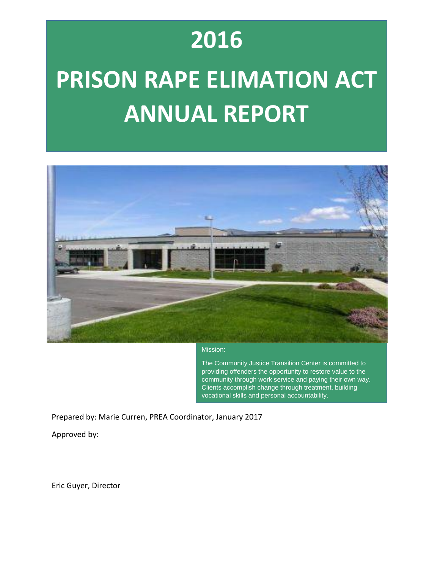### **2016**

# **PRISON RAPE ELIMATION ACT ANNUAL REPORT**



#### Mission:

The Community Justice Transition Center is committed to providing offenders the opportunity to restore value to the community through work service and paying their own way. Clients accomplish change through treatment, building vocational skills and personal accountability.

Prepared by: Marie Curren, PREA Coordinator, January 2017

Approved by:

Eric Guyer, Director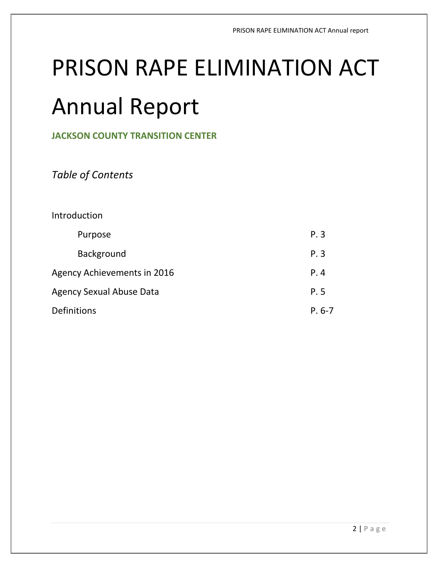## PRISON RAPE ELIMINATION ACT

### Annual Report

**JACKSON COUNTY TRANSITION CENTER**

*Table of Contents*

#### Introduction

| Purpose                     | P.3      |  |  |  |
|-----------------------------|----------|--|--|--|
| <b>Background</b>           | P.3      |  |  |  |
| Agency Achievements in 2016 | P.4      |  |  |  |
| Agency Sexual Abuse Data    |          |  |  |  |
| <b>Definitions</b>          | $P. 6-7$ |  |  |  |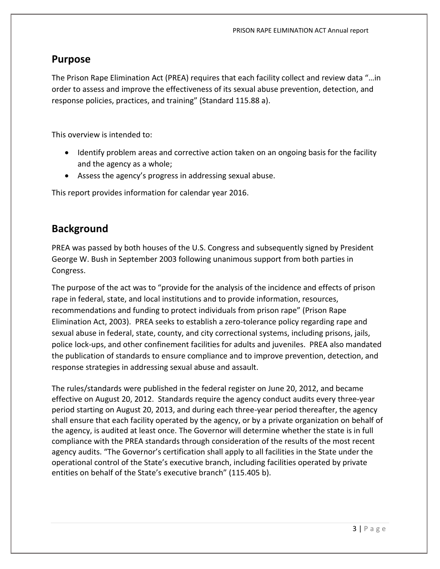#### **Purpose**

The Prison Rape Elimination Act (PREA) requires that each facility collect and review data "…in order to assess and improve the effectiveness of its sexual abuse prevention, detection, and response policies, practices, and training" (Standard 115.88 a).

This overview is intended to:

- Identify problem areas and corrective action taken on an ongoing basis for the facility and the agency as a whole;
- Assess the agency's progress in addressing sexual abuse.

This report provides information for calendar year 2016.

#### **Background**

PREA was passed by both houses of the U.S. Congress and subsequently signed by President George W. Bush in September 2003 following unanimous support from both parties in Congress.

The purpose of the act was to "provide for the analysis of the incidence and effects of prison rape in federal, state, and local institutions and to provide information, resources, recommendations and funding to protect individuals from prison rape" (Prison Rape Elimination Act, 2003). PREA seeks to establish a zero-tolerance policy regarding rape and sexual abuse in federal, state, county, and city correctional systems, including prisons, jails, police lock-ups, and other confinement facilities for adults and juveniles. PREA also mandated the publication of standards to ensure compliance and to improve prevention, detection, and response strategies in addressing sexual abuse and assault.

The rules/standards were published in the federal register on June 20, 2012, and became effective on August 20, 2012. Standards require the agency conduct audits every three-year period starting on August 20, 2013, and during each three-year period thereafter, the agency shall ensure that each facility operated by the agency, or by a private organization on behalf of the agency, is audited at least once. The Governor will determine whether the state is in full compliance with the PREA standards through consideration of the results of the most recent agency audits. "The Governor's certification shall apply to all facilities in the State under the operational control of the State's executive branch, including facilities operated by private entities on behalf of the State's executive branch" (115.405 b).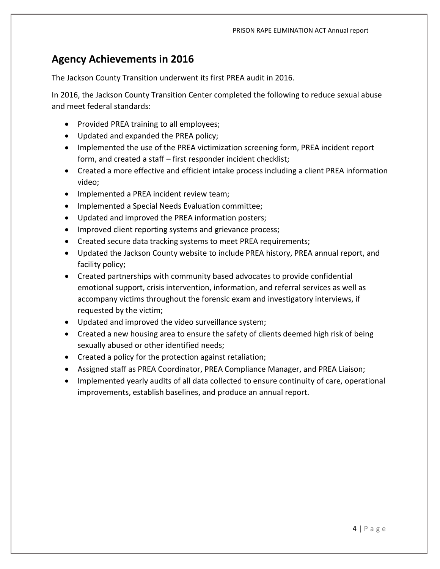#### **Agency Achievements in 2016**

The Jackson County Transition underwent its first PREA audit in 2016.

In 2016, the Jackson County Transition Center completed the following to reduce sexual abuse and meet federal standards:

- Provided PREA training to all employees;
- Updated and expanded the PREA policy;
- Implemented the use of the PREA victimization screening form, PREA incident report form, and created a staff – first responder incident checklist;
- Created a more effective and efficient intake process including a client PREA information video;
- Implemented a PREA incident review team;
- Implemented a Special Needs Evaluation committee;
- Updated and improved the PREA information posters;
- Improved client reporting systems and grievance process;
- Created secure data tracking systems to meet PREA requirements;
- Updated the Jackson County website to include PREA history, PREA annual report, and facility policy;
- Created partnerships with community based advocates to provide confidential emotional support, crisis intervention, information, and referral services as well as accompany victims throughout the forensic exam and investigatory interviews, if requested by the victim;
- Updated and improved the video surveillance system;
- Created a new housing area to ensure the safety of clients deemed high risk of being sexually abused or other identified needs;
- Created a policy for the protection against retaliation;
- Assigned staff as PREA Coordinator, PREA Compliance Manager, and PREA Liaison;
- Implemented yearly audits of all data collected to ensure continuity of care, operational improvements, establish baselines, and produce an annual report.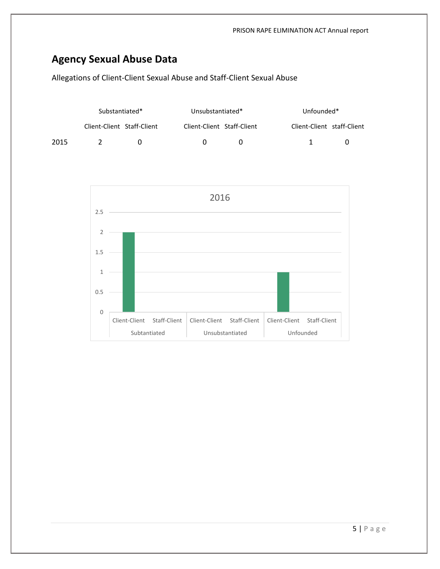### **Agency Sexual Abuse Data**

Allegations of Client-Client Sexual Abuse and Staff-Client Sexual Abuse

|      | Substantiated*             |  | Unsubstantiated*           |              |                            | Unfounded* |  |
|------|----------------------------|--|----------------------------|--------------|----------------------------|------------|--|
|      | Client-Client Staff-Client |  | Client-Client Staff-Client |              | Client-Client staff-Client |            |  |
| 2015 |                            |  |                            | $\mathbf{U}$ |                            |            |  |

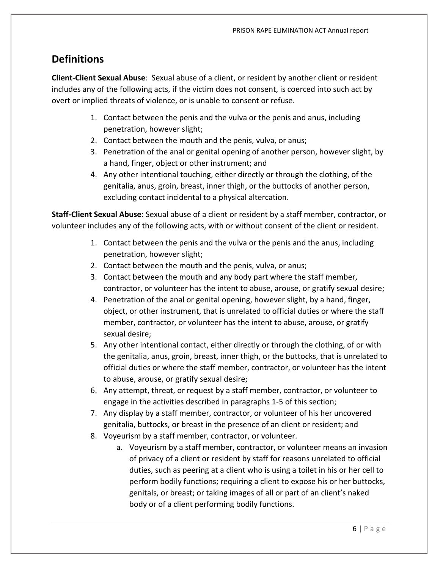#### **Definitions**

**Client-Client Sexual Abuse**: Sexual abuse of a client, or resident by another client or resident includes any of the following acts, if the victim does not consent, is coerced into such act by overt or implied threats of violence, or is unable to consent or refuse.

- 1. Contact between the penis and the vulva or the penis and anus, including penetration, however slight;
- 2. Contact between the mouth and the penis, vulva, or anus;
- 3. Penetration of the anal or genital opening of another person, however slight, by a hand, finger, object or other instrument; and
- 4. Any other intentional touching, either directly or through the clothing, of the genitalia, anus, groin, breast, inner thigh, or the buttocks of another person, excluding contact incidental to a physical altercation.

**Staff-Client Sexual Abuse**: Sexual abuse of a client or resident by a staff member, contractor, or volunteer includes any of the following acts, with or without consent of the client or resident.

- 1. Contact between the penis and the vulva or the penis and the anus, including penetration, however slight;
- 2. Contact between the mouth and the penis, vulva, or anus;
- 3. Contact between the mouth and any body part where the staff member, contractor, or volunteer has the intent to abuse, arouse, or gratify sexual desire;
- 4. Penetration of the anal or genital opening, however slight, by a hand, finger, object, or other instrument, that is unrelated to official duties or where the staff member, contractor, or volunteer has the intent to abuse, arouse, or gratify sexual desire;
- 5. Any other intentional contact, either directly or through the clothing, of or with the genitalia, anus, groin, breast, inner thigh, or the buttocks, that is unrelated to official duties or where the staff member, contractor, or volunteer has the intent to abuse, arouse, or gratify sexual desire;
- 6. Any attempt, threat, or request by a staff member, contractor, or volunteer to engage in the activities described in paragraphs 1-5 of this section;
- 7. Any display by a staff member, contractor, or volunteer of his her uncovered genitalia, buttocks, or breast in the presence of an client or resident; and
- 8. Voyeurism by a staff member, contractor, or volunteer.
	- a. Voyeurism by a staff member, contractor, or volunteer means an invasion of privacy of a client or resident by staff for reasons unrelated to official duties, such as peering at a client who is using a toilet in his or her cell to perform bodily functions; requiring a client to expose his or her buttocks, genitals, or breast; or taking images of all or part of an client's naked body or of a client performing bodily functions.